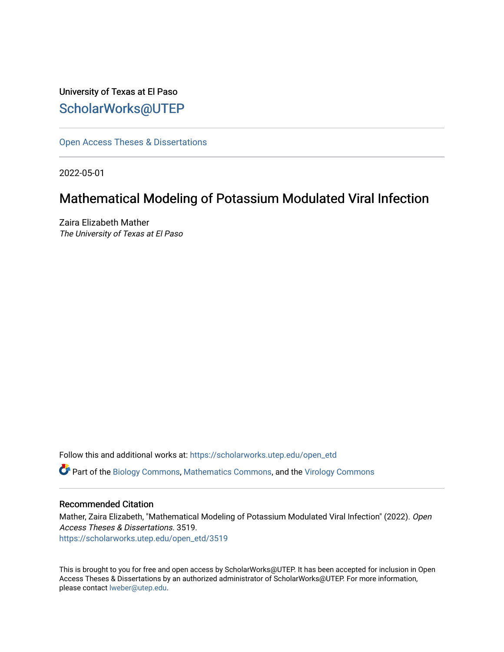University of Texas at El Paso [ScholarWorks@UTEP](https://scholarworks.utep.edu/)

[Open Access Theses & Dissertations](https://scholarworks.utep.edu/open_etd) 

2022-05-01

### Mathematical Modeling of Potassium Modulated Viral Infection

Zaira Elizabeth Mather The University of Texas at El Paso

Follow this and additional works at: [https://scholarworks.utep.edu/open\\_etd](https://scholarworks.utep.edu/open_etd?utm_source=scholarworks.utep.edu%2Fopen_etd%2F3519&utm_medium=PDF&utm_campaign=PDFCoverPages)

Part of the [Biology Commons,](https://network.bepress.com/hgg/discipline/41?utm_source=scholarworks.utep.edu%2Fopen_etd%2F3519&utm_medium=PDF&utm_campaign=PDFCoverPages) [Mathematics Commons](https://network.bepress.com/hgg/discipline/174?utm_source=scholarworks.utep.edu%2Fopen_etd%2F3519&utm_medium=PDF&utm_campaign=PDFCoverPages), and the [Virology Commons](https://network.bepress.com/hgg/discipline/53?utm_source=scholarworks.utep.edu%2Fopen_etd%2F3519&utm_medium=PDF&utm_campaign=PDFCoverPages)

#### Recommended Citation

Mather, Zaira Elizabeth, "Mathematical Modeling of Potassium Modulated Viral Infection" (2022). Open Access Theses & Dissertations. 3519. [https://scholarworks.utep.edu/open\\_etd/3519](https://scholarworks.utep.edu/open_etd/3519?utm_source=scholarworks.utep.edu%2Fopen_etd%2F3519&utm_medium=PDF&utm_campaign=PDFCoverPages) 

This is brought to you for free and open access by ScholarWorks@UTEP. It has been accepted for inclusion in Open Access Theses & Dissertations by an authorized administrator of ScholarWorks@UTEP. For more information, please contact [lweber@utep.edu.](mailto:lweber@utep.edu)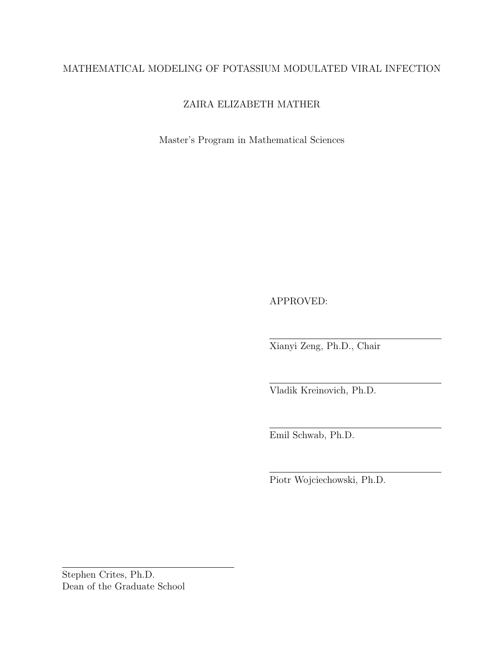#### MATHEMATICAL MODELING OF POTASSIUM MODULATED VIRAL INFECTION

#### ZAIRA ELIZABETH MATHER

Master's Program in Mathematical Sciences

APPROVED:

Xianyi Zeng, Ph.D., Chair

Vladik Kreinovich, Ph.D.

Emil Schwab, Ph.D.

Piotr Wojciechowski, Ph.D.

Stephen Crites, Ph.D. Dean of the Graduate School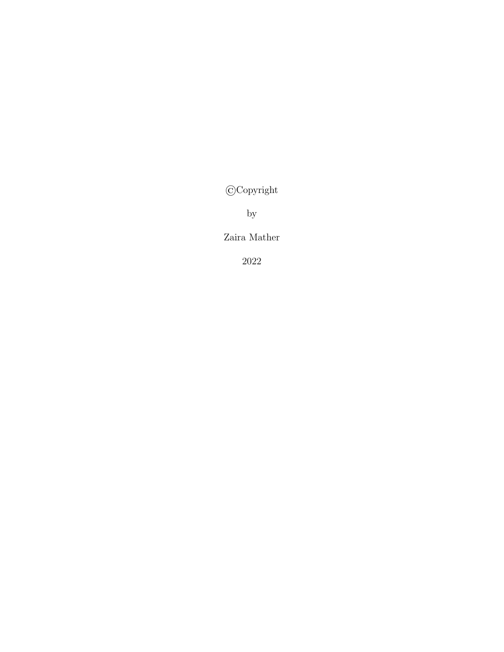©Copyright

by

Zaira Mather

2022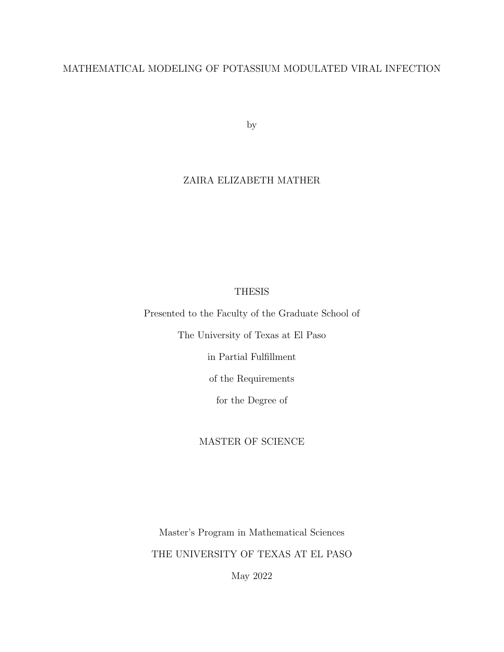#### MATHEMATICAL MODELING OF POTASSIUM MODULATED VIRAL INFECTION

by

#### ZAIRA ELIZABETH MATHER

#### THESIS

Presented to the Faculty of the Graduate School of

The University of Texas at El Paso

in Partial Fulfillment

of the Requirements

for the Degree of

#### MASTER OF SCIENCE

Master's Program in Mathematical Sciences THE UNIVERSITY OF TEXAS AT EL PASO

May 2022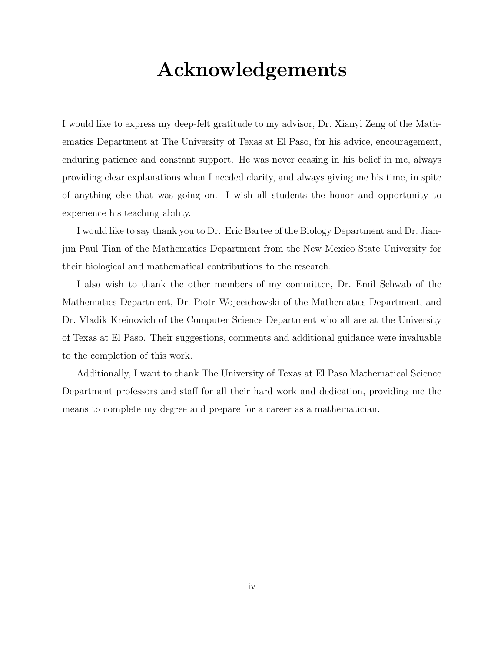## Acknowledgements

I would like to express my deep-felt gratitude to my advisor, Dr. Xianyi Zeng of the Mathematics Department at The University of Texas at El Paso, for his advice, encouragement, enduring patience and constant support. He was never ceasing in his belief in me, always providing clear explanations when I needed clarity, and always giving me his time, in spite of anything else that was going on. I wish all students the honor and opportunity to experience his teaching ability.

I would like to say thank you to Dr. Eric Bartee of the Biology Department and Dr. Jianjun Paul Tian of the Mathematics Department from the New Mexico State University for their biological and mathematical contributions to the research.

I also wish to thank the other members of my committee, Dr. Emil Schwab of the Mathematics Department, Dr. Piotr Wojceichowski of the Mathematics Department, and Dr. Vladik Kreinovich of the Computer Science Department who all are at the University of Texas at El Paso. Their suggestions, comments and additional guidance were invaluable to the completion of this work.

Additionally, I want to thank The University of Texas at El Paso Mathematical Science Department professors and staff for all their hard work and dedication, providing me the means to complete my degree and prepare for a career as a mathematician.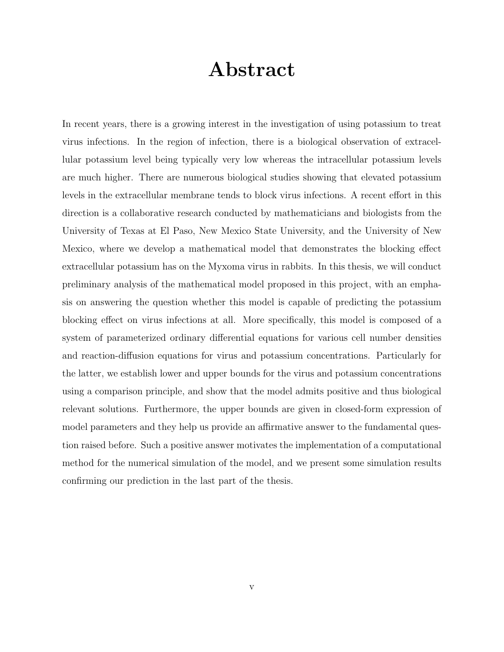### Abstract

In recent years, there is a growing interest in the investigation of using potassium to treat virus infections. In the region of infection, there is a biological observation of extracellular potassium level being typically very low whereas the intracellular potassium levels are much higher. There are numerous biological studies showing that elevated potassium levels in the extracellular membrane tends to block virus infections. A recent effort in this direction is a collaborative research conducted by mathematicians and biologists from the University of Texas at El Paso, New Mexico State University, and the University of New Mexico, where we develop a mathematical model that demonstrates the blocking effect extracellular potassium has on the Myxoma virus in rabbits. In this thesis, we will conduct preliminary analysis of the mathematical model proposed in this project, with an emphasis on answering the question whether this model is capable of predicting the potassium blocking effect on virus infections at all. More specifically, this model is composed of a system of parameterized ordinary differential equations for various cell number densities and reaction-diffusion equations for virus and potassium concentrations. Particularly for the latter, we establish lower and upper bounds for the virus and potassium concentrations using a comparison principle, and show that the model admits positive and thus biological relevant solutions. Furthermore, the upper bounds are given in closed-form expression of model parameters and they help us provide an affirmative answer to the fundamental question raised before. Such a positive answer motivates the implementation of a computational method for the numerical simulation of the model, and we present some simulation results confirming our prediction in the last part of the thesis.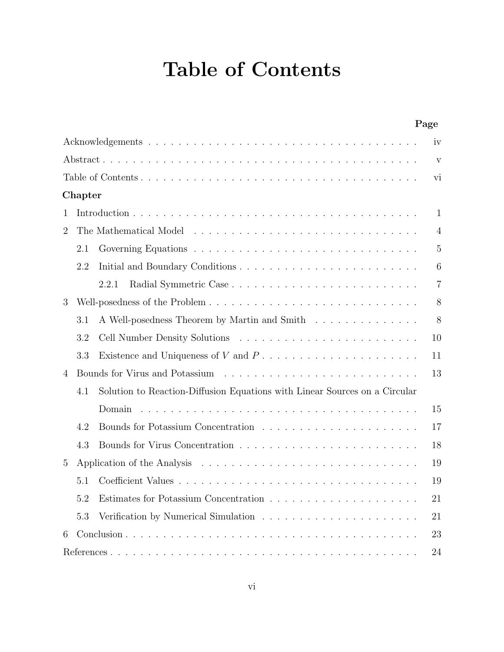# Table of Contents

|                |         |                                                                                                                                                                                                                                | Page           |
|----------------|---------|--------------------------------------------------------------------------------------------------------------------------------------------------------------------------------------------------------------------------------|----------------|
|                |         |                                                                                                                                                                                                                                | iv             |
|                |         |                                                                                                                                                                                                                                | V              |
|                |         |                                                                                                                                                                                                                                | vi             |
|                | Chapter |                                                                                                                                                                                                                                |                |
| 1              |         |                                                                                                                                                                                                                                | 1              |
| $\overline{2}$ |         |                                                                                                                                                                                                                                | 4              |
|                | 2.1     |                                                                                                                                                                                                                                | 5              |
|                | 2.2     |                                                                                                                                                                                                                                | 6              |
|                |         | 2.2.1                                                                                                                                                                                                                          | $\overline{7}$ |
| 3              |         |                                                                                                                                                                                                                                | 8              |
|                | 3.1     | A Well-posedness Theorem by Martin and Smith                                                                                                                                                                                   | 8              |
|                | 3.2     |                                                                                                                                                                                                                                | 10             |
|                | 3.3     | Existence and Uniqueness of V and $P_1, \ldots, \ldots, \ldots, \ldots, \ldots, \ldots$                                                                                                                                        | 11             |
| 4              |         | Bounds for Virus and Potassium (a) respectively and the set of the set of the set of the set of the set of the set of the set of the set of the set of the set of the set of the set of the set of the set of the set of the s | 13             |
|                | 4.1     | Solution to Reaction-Diffusion Equations with Linear Sources on a Circular                                                                                                                                                     |                |
|                |         | Domain                                                                                                                                                                                                                         | 15             |
|                | 4.2     |                                                                                                                                                                                                                                | 17             |
|                | 4.3     |                                                                                                                                                                                                                                | 18             |
| 5              |         |                                                                                                                                                                                                                                | 19             |
|                | 5.1     |                                                                                                                                                                                                                                | 19             |
|                | 5.2     |                                                                                                                                                                                                                                | 21             |
|                | 5.3     |                                                                                                                                                                                                                                | 21             |
| 6              |         |                                                                                                                                                                                                                                | 23             |
|                |         |                                                                                                                                                                                                                                | 24             |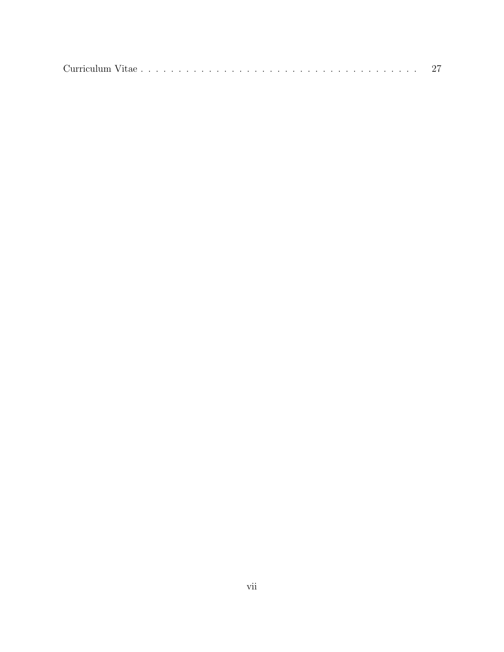|--|--|--|--|--|--|--|--|--|--|--|--|--|--|--|--|--|--|--|--|--|--|--|--|--|--|--|--|--|--|--|--|--|--|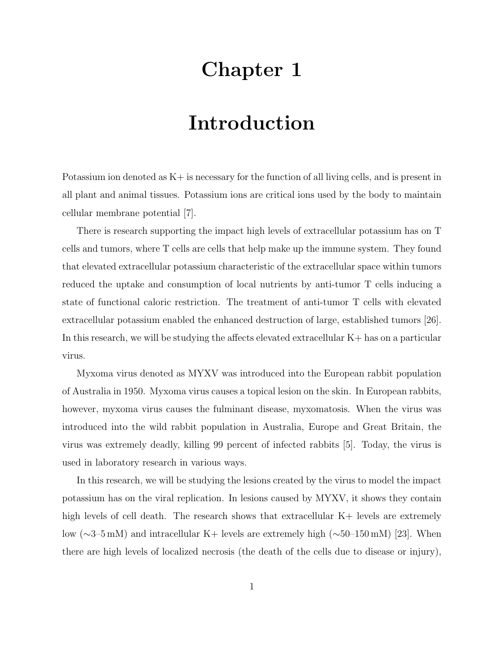# Chapter 1

## Introduction

Potassium ion denoted as  $K<sub>+</sub>$  is necessary for the function of all living cells, and is present in all plant and animal tissues. Potassium ions are critical ions used by the body to maintain cellular membrane potential [7].

There is research supporting the impact high levels of extracellular potassium has on T cells and tumors, where T cells are cells that help make up the immune system. They found that elevated extracellular potassium characteristic of the extracellular space within tumors reduced the uptake and consumption of local nutrients by anti-tumor T cells inducing a state of functional caloric restriction. The treatment of anti-tumor T cells with elevated extracellular potassium enabled the enhanced destruction of large, established tumors [26]. In this research, we will be studying the affects elevated extracellular K+ has on a particular virus.

Myxoma virus denoted as MYXV was introduced into the European rabbit population of Australia in 1950. Myxoma virus causes a topical lesion on the skin. In European rabbits, however, myxoma virus causes the fulminant disease, myxomatosis. When the virus was introduced into the wild rabbit population in Australia, Europe and Great Britain, the virus was extremely deadly, killing 99 percent of infected rabbits [5]. Today, the virus is used in laboratory research in various ways.

In this research, we will be studying the lesions created by the virus to model the impact potassium has on the viral replication. In lesions caused by MYXV, it shows they contain high levels of cell death. The research shows that extracellular  $K+$  levels are extremely low (∼3–5 mM) and intracellular K+ levels are extremely high (∼50–150 mM) [23]. When there are high levels of localized necrosis (the death of the cells due to disease or injury),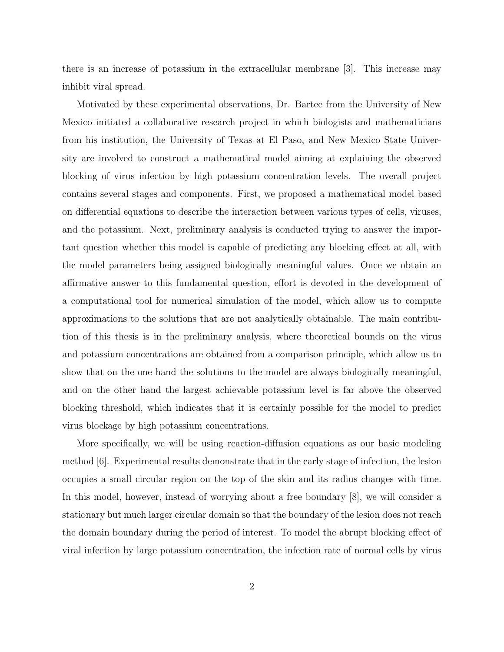there is an increase of potassium in the extracellular membrane [3]. This increase may inhibit viral spread.

Motivated by these experimental observations, Dr. Bartee from the University of New Mexico initiated a collaborative research project in which biologists and mathematicians from his institution, the University of Texas at El Paso, and New Mexico State University are involved to construct a mathematical model aiming at explaining the observed blocking of virus infection by high potassium concentration levels. The overall project contains several stages and components. First, we proposed a mathematical model based on differential equations to describe the interaction between various types of cells, viruses, and the potassium. Next, preliminary analysis is conducted trying to answer the important question whether this model is capable of predicting any blocking effect at all, with the model parameters being assigned biologically meaningful values. Once we obtain an affirmative answer to this fundamental question, effort is devoted in the development of a computational tool for numerical simulation of the model, which allow us to compute approximations to the solutions that are not analytically obtainable. The main contribution of this thesis is in the preliminary analysis, where theoretical bounds on the virus and potassium concentrations are obtained from a comparison principle, which allow us to show that on the one hand the solutions to the model are always biologically meaningful, and on the other hand the largest achievable potassium level is far above the observed blocking threshold, which indicates that it is certainly possible for the model to predict virus blockage by high potassium concentrations.

More specifically, we will be using reaction-diffusion equations as our basic modeling method [6]. Experimental results demonstrate that in the early stage of infection, the lesion occupies a small circular region on the top of the skin and its radius changes with time. In this model, however, instead of worrying about a free boundary [8], we will consider a stationary but much larger circular domain so that the boundary of the lesion does not reach the domain boundary during the period of interest. To model the abrupt blocking effect of viral infection by large potassium concentration, the infection rate of normal cells by virus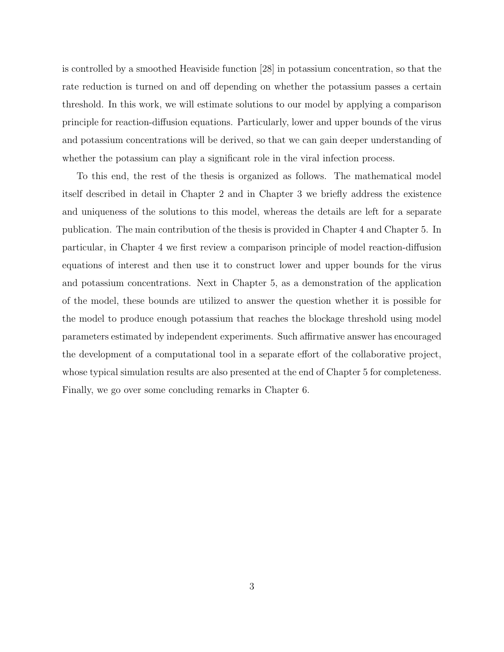is controlled by a smoothed Heaviside function [28] in potassium concentration, so that the rate reduction is turned on and off depending on whether the potassium passes a certain threshold. In this work, we will estimate solutions to our model by applying a comparison principle for reaction-diffusion equations. Particularly, lower and upper bounds of the virus and potassium concentrations will be derived, so that we can gain deeper understanding of whether the potassium can play a significant role in the viral infection process.

To this end, the rest of the thesis is organized as follows. The mathematical model itself described in detail in Chapter 2 and in Chapter 3 we briefly address the existence and uniqueness of the solutions to this model, whereas the details are left for a separate publication. The main contribution of the thesis is provided in Chapter 4 and Chapter 5. In particular, in Chapter 4 we first review a comparison principle of model reaction-diffusion equations of interest and then use it to construct lower and upper bounds for the virus and potassium concentrations. Next in Chapter 5, as a demonstration of the application of the model, these bounds are utilized to answer the question whether it is possible for the model to produce enough potassium that reaches the blockage threshold using model parameters estimated by independent experiments. Such affirmative answer has encouraged the development of a computational tool in a separate effort of the collaborative project, whose typical simulation results are also presented at the end of Chapter 5 for completeness. Finally, we go over some concluding remarks in Chapter 6.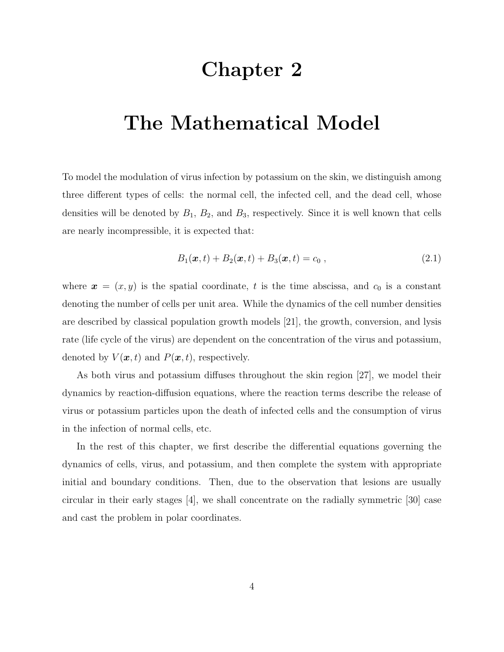## Chapter 2

## The Mathematical Model

To model the modulation of virus infection by potassium on the skin, we distinguish among three different types of cells: the normal cell, the infected cell, and the dead cell, whose densities will be denoted by  $B_1$ ,  $B_2$ , and  $B_3$ , respectively. Since it is well known that cells are nearly incompressible, it is expected that:

$$
B_1(\bm{x},t) + B_2(\bm{x},t) + B_3(\bm{x},t) = c_0 , \qquad (2.1)
$$

where  $\boldsymbol{x} = (x, y)$  is the spatial coordinate, t is the time abscissa, and  $c_0$  is a constant denoting the number of cells per unit area. While the dynamics of the cell number densities are described by classical population growth models [21], the growth, conversion, and lysis rate (life cycle of the virus) are dependent on the concentration of the virus and potassium, denoted by  $V(\boldsymbol{x}, t)$  and  $P(\boldsymbol{x}, t)$ , respectively.

As both virus and potassium diffuses throughout the skin region [27], we model their dynamics by reaction-diffusion equations, where the reaction terms describe the release of virus or potassium particles upon the death of infected cells and the consumption of virus in the infection of normal cells, etc.

In the rest of this chapter, we first describe the differential equations governing the dynamics of cells, virus, and potassium, and then complete the system with appropriate initial and boundary conditions. Then, due to the observation that lesions are usually circular in their early stages [4], we shall concentrate on the radially symmetric [30] case and cast the problem in polar coordinates.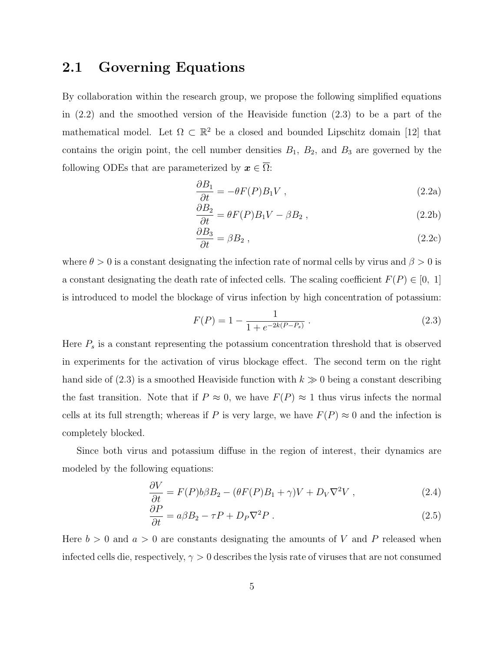#### 2.1 Governing Equations

By collaboration within the research group, we propose the following simplified equations in (2.2) and the smoothed version of the Heaviside function (2.3) to be a part of the mathematical model. Let  $\Omega \subset \mathbb{R}^2$  be a closed and bounded Lipschitz domain [12] that contains the origin point, the cell number densities  $B_1$ ,  $B_2$ , and  $B_3$  are governed by the following ODEs that are parameterized by  $x \in \overline{\Omega}$ :

$$
\frac{\partial B_1}{\partial t} = -\theta F(P) B_1 V \tag{2.2a}
$$

$$
\frac{\partial B_2}{\partial t} = \theta F(P) B_1 V - \beta B_2 , \qquad (2.2b)
$$

$$
\frac{\partial B_3}{\partial t} = \beta B_2 \,,\tag{2.2c}
$$

where  $\theta > 0$  is a constant designating the infection rate of normal cells by virus and  $\beta > 0$  is a constant designating the death rate of infected cells. The scaling coefficient  $F(P) \in [0, 1]$ is introduced to model the blockage of virus infection by high concentration of potassium:

$$
F(P) = 1 - \frac{1}{1 + e^{-2k(P - P_s)}}.
$$
\n(2.3)

Here  $P_s$  is a constant representing the potassium concentration threshold that is observed in experiments for the activation of virus blockage effect. The second term on the right hand side of  $(2.3)$  is a smoothed Heaviside function with  $k \gg 0$  being a constant describing the fast transition. Note that if  $P \approx 0$ , we have  $F(P) \approx 1$  thus virus infects the normal cells at its full strength; whereas if P is very large, we have  $F(P) \approx 0$  and the infection is completely blocked.

Since both virus and potassium diffuse in the region of interest, their dynamics are modeled by the following equations:

$$
\frac{\partial V}{\partial t} = F(P)b\beta B_2 - (\theta F(P)B_1 + \gamma)V + D_V\nabla^2 V,
$$
\n(2.4)

$$
\frac{\partial P}{\partial t} = a\beta B_2 - \tau P + D_P \nabla^2 P \,. \tag{2.5}
$$

Here  $b > 0$  and  $a > 0$  are constants designating the amounts of V and P released when infected cells die, respectively,  $\gamma > 0$  describes the lysis rate of viruses that are not consumed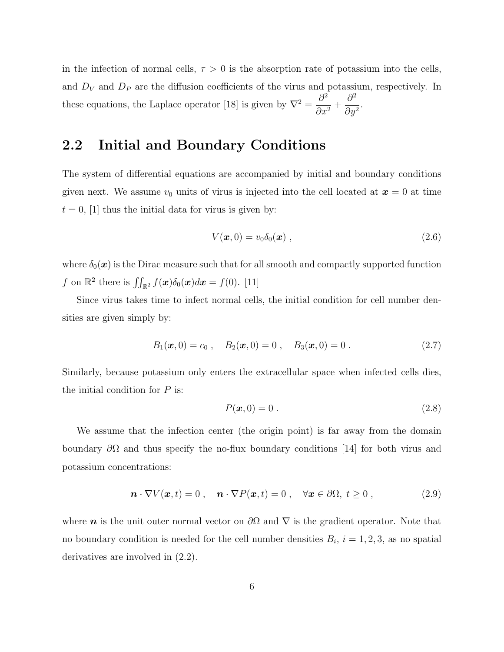in the infection of normal cells,  $\tau > 0$  is the absorption rate of potassium into the cells, and  $D_V$  and  $D_P$  are the diffusion coefficients of the virus and potassium, respectively. In these equations, the Laplace operator [18] is given by  $\nabla^2 = \frac{\partial^2}{\partial x^2}$  $\frac{\delta}{\partial x^2}$  +  $\partial^2$  $\frac{\delta}{\partial y^2}$ .

### 2.2 Initial and Boundary Conditions

The system of differential equations are accompanied by initial and boundary conditions given next. We assume  $v_0$  units of virus is injected into the cell located at  $x = 0$  at time  $t = 0$ , [1] thus the initial data for virus is given by:

$$
V(\boldsymbol{x},0) = v_0 \delta_0(\boldsymbol{x}) \;, \tag{2.6}
$$

where  $\delta_0(x)$  is the Dirac measure such that for all smooth and compactly supported function f on  $\mathbb{R}^2$  there is  $\iint_{\mathbb{R}^2} f(\boldsymbol{x}) \delta_0(\boldsymbol{x}) d\boldsymbol{x} = f(0)$ . [11]

Since virus takes time to infect normal cells, the initial condition for cell number densities are given simply by:

$$
B_1(\mathbf{x},0) = c_0
$$
,  $B_2(\mathbf{x},0) = 0$ ,  $B_3(\mathbf{x},0) = 0$ . (2.7)

Similarly, because potassium only enters the extracellular space when infected cells dies, the initial condition for  $P$  is:

$$
P(\boldsymbol{x},0) = 0.
$$
\n<sup>(2.8)</sup>

We assume that the infection center (the origin point) is far away from the domain boundary  $\partial\Omega$  and thus specify the no-flux boundary conditions [14] for both virus and potassium concentrations:

$$
\boldsymbol{n} \cdot \nabla V(\boldsymbol{x}, t) = 0 \;, \quad \boldsymbol{n} \cdot \nabla P(\boldsymbol{x}, t) = 0 \;, \quad \forall \boldsymbol{x} \in \partial \Omega, \; t \ge 0 \;, \tag{2.9}
$$

where **n** is the unit outer normal vector on  $\partial\Omega$  and  $\nabla$  is the gradient operator. Note that no boundary condition is needed for the cell number densities  $B_i$ ,  $i = 1, 2, 3$ , as no spatial derivatives are involved in (2.2).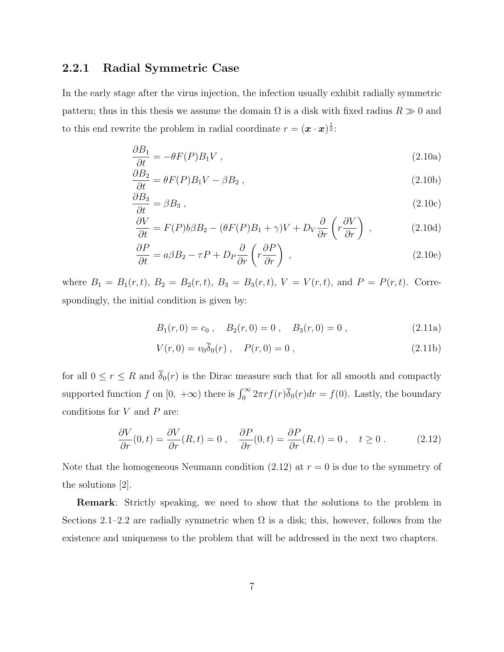#### 2.2.1 Radial Symmetric Case

In the early stage after the virus injection, the infection usually exhibit radially symmetric pattern; thus in this thesis we assume the domain  $\Omega$  is a disk with fixed radius  $R \gg 0$  and to this end rewrite the problem in radial coordinate  $r = (\mathbf{x} \cdot \mathbf{x})^{\frac{1}{2}}$ :

$$
\frac{\partial B_1}{\partial t} = -\theta F(P) B_1 V \tag{2.10a}
$$

$$
\frac{\partial B_2}{\partial t} = \theta F(P) B_1 V - \beta B_2 , \qquad (2.10b)
$$

$$
\frac{\partial B_3}{\partial t} = \beta B_3 \,,\tag{2.10c}
$$

$$
\frac{\partial V}{\partial t} = F(P)b\beta B_2 - (\theta F(P)B_1 + \gamma)V + D_V \frac{\partial}{\partial r} \left(r \frac{\partial V}{\partial r}\right) ,\qquad (2.10d)
$$

$$
\frac{\partial P}{\partial t} = a\beta B_2 - \tau P + D_P \frac{\partial}{\partial r} \left( r \frac{\partial P}{\partial r} \right) , \qquad (2.10e)
$$

where  $B_1 = B_1(r, t)$ ,  $B_2 = B_2(r, t)$ ,  $B_3 = B_3(r, t)$ ,  $V = V(r, t)$ , and  $P = P(r, t)$ . Correspondingly, the initial condition is given by:

$$
B_1(r, 0) = c_0
$$
,  $B_2(r, 0) = 0$ ,  $B_3(r, 0) = 0$ ,  $(2.11a)$ 

$$
V(r,0) = v_0 \overline{\delta}_0(r) , \quad P(r,0) = 0 , \qquad (2.11b)
$$

for all  $0 \le r \le R$  and  $\overline{\delta}_0(r)$  is the Dirac measure such that for all smooth and compactly supported function f on  $[0, +\infty)$  there is  $\int_0^\infty 2\pi r f(r) \overline{\delta}_0(r) dr = f(0)$ . Lastly, the boundary conditions for  $V$  and  $P$  are:

$$
\frac{\partial V}{\partial r}(0,t) = \frac{\partial V}{\partial r}(R,t) = 0 \;, \quad \frac{\partial P}{\partial r}(0,t) = \frac{\partial P}{\partial r}(R,t) = 0 \;, \quad t \ge 0 \;.
$$
 (2.12)

Note that the homogeneous Neumann condition  $(2.12)$  at  $r = 0$  is due to the symmetry of the solutions [2].

Remark: Strictly speaking, we need to show that the solutions to the problem in Sections 2.1–2.2 are radially symmetric when  $\Omega$  is a disk; this, however, follows from the existence and uniqueness to the problem that will be addressed in the next two chapters.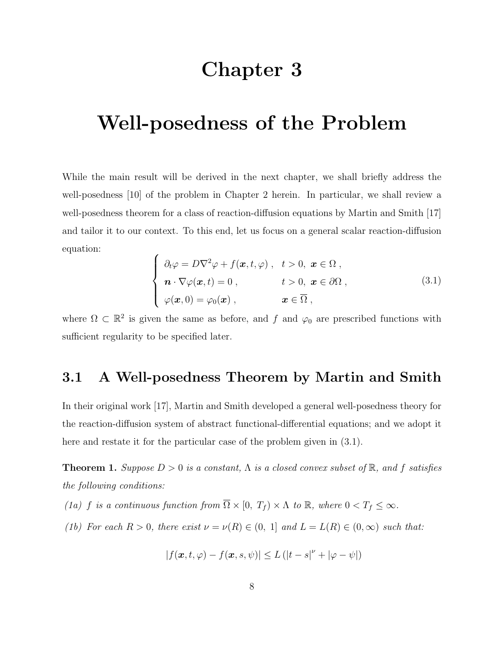## Chapter 3

# Well-posedness of the Problem

While the main result will be derived in the next chapter, we shall briefly address the well-posedness [10] of the problem in Chapter 2 herein. In particular, we shall review a well-posedness theorem for a class of reaction-diffusion equations by Martin and Smith [17] and tailor it to our context. To this end, let us focus on a general scalar reaction-diffusion equation:

$$
\begin{cases}\n\partial_t \varphi = D\nabla^2 \varphi + f(\boldsymbol{x}, t, \varphi) , & t > 0, \ \boldsymbol{x} \in \Omega , \\
\boldsymbol{n} \cdot \nabla \varphi(\boldsymbol{x}, t) = 0 , & t > 0, \ \boldsymbol{x} \in \partial\Omega , \\
\varphi(\boldsymbol{x}, 0) = \varphi_0(\boldsymbol{x}) , & \boldsymbol{x} \in \overline{\Omega} ,\n\end{cases}
$$
\n(3.1)

where  $\Omega \subset \mathbb{R}^2$  is given the same as before, and f and  $\varphi_0$  are prescribed functions with sufficient regularity to be specified later.

### 3.1 A Well-posedness Theorem by Martin and Smith

In their original work [17], Martin and Smith developed a general well-posedness theory for the reaction-diffusion system of abstract functional-differential equations; and we adopt it here and restate it for the particular case of the problem given in (3.1).

**Theorem 1.** Suppose  $D > 0$  is a constant,  $\Lambda$  is a closed convex subset of  $\mathbb{R}$ , and f satisfies the following conditions:

- (1a) f is a continuous function from  $\overline{\Omega} \times [0, T_f) \times \Lambda$  to  $\mathbb{R}$ , where  $0 < T_f \leq \infty$ .
- (1b) For each  $R > 0$ , there exist  $\nu = \nu(R) \in (0, 1]$  and  $L = L(R) \in (0, \infty)$  such that:

$$
|f(\boldsymbol{x},t,\varphi)-f(\boldsymbol{x},s,\psi)|\leq L\left(|t-s|^\nu+|\varphi-\psi|\right)
$$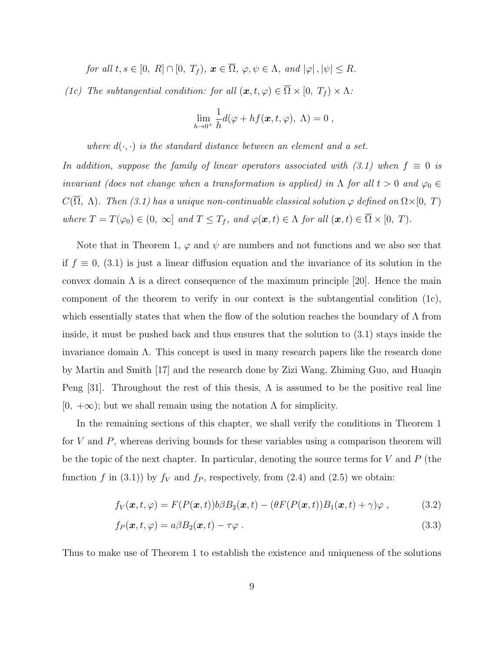for all  $t, s \in [0, R] \cap [0, T_f)$ ,  $\mathbf{x} \in \overline{\Omega}$ ,  $\varphi, \psi \in \Lambda$ , and  $|\varphi|, |\psi| \leq R$ .

(1c) The subtangential condition: for all  $(\boldsymbol{x}, t, \varphi) \in \overline{\Omega} \times [0, T_f) \times \Lambda$ :

$$
\lim_{h\to 0^+} \frac{1}{h} d(\varphi + hf(\boldsymbol{x}, t, \varphi), \Lambda) = 0 ,
$$

where  $d(\cdot, \cdot)$  is the standard distance between an element and a set.

In addition, suppose the family of linear operators associated with  $(3.1)$  when  $f \equiv 0$  is invariant (does not change when a transformation is applied) in  $\Lambda$  for all  $t > 0$  and  $\varphi_0 \in$  $C(\overline{\Omega}, \Lambda)$ . Then (3.1) has a unique non-continuable classical solution  $\varphi$  defined on  $\Omega \times [0, T)$ where  $T = T(\varphi_0) \in (0, \infty]$  and  $T \leq T_f$ , and  $\varphi(\mathbf{x}, t) \in \Lambda$  for all  $(\mathbf{x}, t) \in \overline{\Omega} \times [0, T)$ .

Note that in Theorem 1,  $\varphi$  and  $\psi$  are numbers and not functions and we also see that if  $f \equiv 0$ , (3.1) is just a linear diffusion equation and the invariance of its solution in the convex domain  $\Lambda$  is a direct consequence of the maximum principle [20]. Hence the main component of the theorem to verify in our context is the subtangential condition (1c), which essentially states that when the flow of the solution reaches the boundary of Λ from inside, it must be pushed back and thus ensures that the solution to (3.1) stays inside the invariance domain  $\Lambda$ . This concept is used in many research papers like the research done by Martin and Smith [17] and the research done by Zizi Wang, Zhiming Guo, and Huaqin Peng [31]. Throughout the rest of this thesis,  $\Lambda$  is assumed to be the positive real line  $[0, +\infty)$ ; but we shall remain using the notation  $\Lambda$  for simplicity.

In the remaining sections of this chapter, we shall verify the conditions in Theorem 1 for V and P, whereas deriving bounds for these variables using a comparison theorem will be the topic of the next chapter. In particular, denoting the source terms for  $V$  and  $P$  (the function f in (3.1)) by  $f_V$  and  $f_P$ , respectively, from (2.4) and (2.5) we obtain:

$$
f_V(\boldsymbol{x},t,\varphi) = F(P(\boldsymbol{x},t))\delta B_2(\boldsymbol{x},t) - (\theta F(P(\boldsymbol{x},t))B_1(\boldsymbol{x},t) + \gamma)\varphi , \qquad (3.2)
$$

$$
f_P(\boldsymbol{x}, t, \varphi) = a\beta B_2(\boldsymbol{x}, t) - \tau \varphi \tag{3.3}
$$

Thus to make use of Theorem 1 to establish the existence and uniqueness of the solutions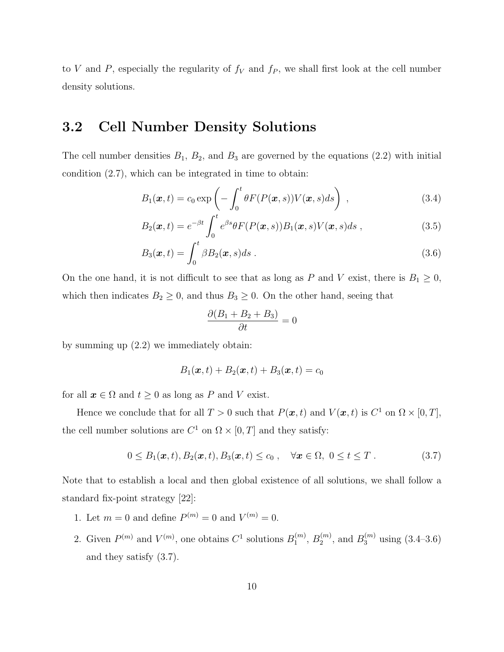to V and P, especially the regularity of  $f_V$  and  $f_P$ , we shall first look at the cell number density solutions.

#### 3.2 Cell Number Density Solutions

The cell number densities  $B_1$ ,  $B_2$ , and  $B_3$  are governed by the equations (2.2) with initial condition (2.7), which can be integrated in time to obtain:

$$
B_1(\boldsymbol{x},t) = c_0 \exp\left(-\int_0^t \theta F(P(\boldsymbol{x},s)) V(\boldsymbol{x},s) ds\right) , \qquad (3.4)
$$

$$
B_2(\boldsymbol{x},t) = e^{-\beta t} \int_0^t e^{\beta s} \theta F(P(\boldsymbol{x},s)) B_1(\boldsymbol{x},s) V(\boldsymbol{x},s) ds , \qquad (3.5)
$$

$$
B_3(\boldsymbol{x},t) = \int_0^t \beta B_2(\boldsymbol{x},s)ds . \qquad (3.6)
$$

On the one hand, it is not difficult to see that as long as P and V exist, there is  $B_1 \geq 0$ , which then indicates  $B_2 \geq 0$ , and thus  $B_3 \geq 0$ . On the other hand, seeing that

$$
\frac{\partial (B_1 + B_2 + B_3)}{\partial t} = 0
$$

by summing up (2.2) we immediately obtain:

$$
B_1(\boldsymbol{x},t) + B_2(\boldsymbol{x},t) + B_3(\boldsymbol{x},t) = c_0
$$

for all  $x \in \Omega$  and  $t \ge 0$  as long as P and V exist.

Hence we conclude that for all  $T > 0$  such that  $P(\mathbf{x}, t)$  and  $V(\mathbf{x}, t)$  is  $C^1$  on  $\Omega \times [0, T]$ , the cell number solutions are  $C^1$  on  $\Omega \times [0, T]$  and they satisfy:

$$
0 \leq B_1(\boldsymbol{x},t), B_2(\boldsymbol{x},t), B_3(\boldsymbol{x},t) \leq c_0 , \quad \forall \boldsymbol{x} \in \Omega, \ 0 \leq t \leq T . \tag{3.7}
$$

Note that to establish a local and then global existence of all solutions, we shall follow a standard fix-point strategy [22]:

- 1. Let  $m = 0$  and define  $P^{(m)} = 0$  and  $V^{(m)} = 0$ .
- 2. Given  $P^{(m)}$  and  $V^{(m)}$ , one obtains  $C^1$  solutions  $B_1^{(m)}$  $_1^{(m)}, B_2^{(m)}$  $2^{(m)}$ , and  $B_3^{(m)}$  using  $(3.4-3.6)$ and they satisfy (3.7).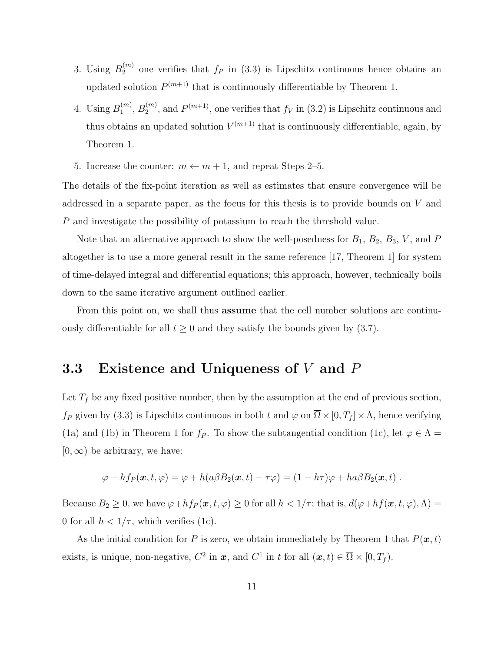- 3. Using  $B_2^{(m)}$  $2^{(m)}$  one verifies that  $f_P$  in (3.3) is Lipschitz continuous hence obtains an updated solution  $P^{(m+1)}$  that is continuously differentiable by Theorem 1.
- 4. Using  $B_1^{(m)}$  $_1^{(m)}, B_2^{(m)}$  $2^{(m)}$ , and  $P^{(m+1)}$ , one verifies that  $f_V$  in (3.2) is Lipschitz continuous and thus obtains an updated solution  $V^{(m+1)}$  that is continuously differentiable, again, by Theorem 1.
- 5. Increase the counter:  $m \leftarrow m + 1$ , and repeat Steps 2–5.

The details of the fix-point iteration as well as estimates that ensure convergence will be addressed in a separate paper, as the focus for this thesis is to provide bounds on V and P and investigate the possibility of potassium to reach the threshold value.

Note that an alternative approach to show the well-posedness for  $B_1$ ,  $B_2$ ,  $B_3$ ,  $V$ , and  $P$ altogether is to use a more general result in the same reference [17, Theorem 1] for system of time-delayed integral and differential equations; this approach, however, technically boils down to the same iterative argument outlined earlier.

From this point on, we shall thus assume that the cell number solutions are continuously differentiable for all  $t \geq 0$  and they satisfy the bounds given by (3.7).

### 3.3 Existence and Uniqueness of  $V$  and  $P$

Let  $T_f$  be any fixed positive number, then by the assumption at the end of previous section,  $f_P$  given by (3.3) is Lipschitz continuous in both t and  $\varphi$  on  $\overline{\Omega} \times [0, T_f] \times \Lambda$ , hence verifying (1a) and (1b) in Theorem 1 for  $f_P$ . To show the subtangential condition (1c), let  $\varphi \in \Lambda$  =  $[0,\infty)$  be arbitrary, we have:

$$
\varphi + h f_P(\boldsymbol{x}, t, \varphi) = \varphi + h(a \beta B_2(\boldsymbol{x}, t) - \tau \varphi) = (1 - h \tau) \varphi + h a \beta B_2(\boldsymbol{x}, t) .
$$

Because  $B_2 \ge 0$ , we have  $\varphi + h f_P(\boldsymbol{x}, t, \varphi) \ge 0$  for all  $h < 1/\tau$ ; that is,  $d(\varphi + h f(\boldsymbol{x}, t, \varphi), \Lambda) =$ 0 for all  $h < 1/\tau$ , which verifies (1c).

As the initial condition for P is zero, we obtain immediately by Theorem 1 that  $P(x, t)$ exists, is unique, non-negative,  $C^2$  in  $\boldsymbol{x}$ , and  $C^1$  in t for all  $(\boldsymbol{x}, t) \in \overline{\Omega} \times [0, T_f)$ .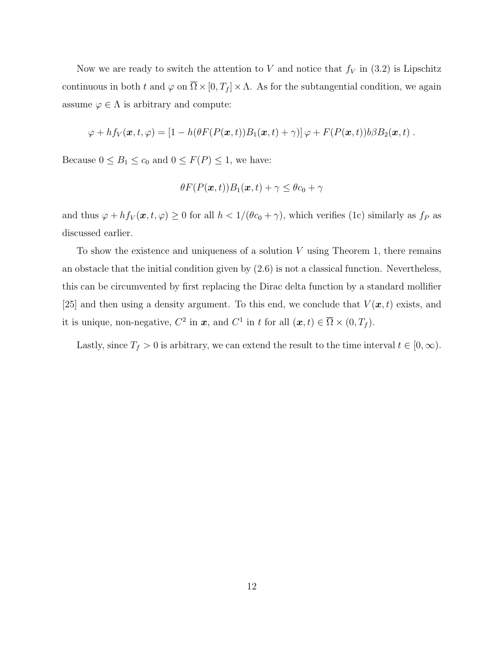Now we are ready to switch the attention to V and notice that  $f_V$  in (3.2) is Lipschitz continuous in both t and  $\varphi$  on  $\overline{\Omega} \times [0, T_f] \times \Lambda$ . As for the subtangential condition, we again assume  $\varphi \in \Lambda$  is arbitrary and compute:

$$
\varphi + h f_V(\boldsymbol{x},t,\varphi) = [1 - h(\theta F(P(\boldsymbol{x},t))B_1(\boldsymbol{x},t) + \gamma)]\varphi + F(P(\boldsymbol{x},t))b\beta B_2(\boldsymbol{x},t).
$$

Because  $0 \leq B_1 \leq c_0$  and  $0 \leq F(P) \leq 1$ , we have:

$$
\theta F(P(\boldsymbol{x},t))B_1(\boldsymbol{x},t)+\gamma \leq \theta c_0 + \gamma
$$

and thus  $\varphi + hf_V(\mathbf{x}, t, \varphi) \ge 0$  for all  $h < 1/(\theta c_0 + \gamma)$ , which verifies (1c) similarly as  $f_P$  as discussed earlier.

To show the existence and uniqueness of a solution  $V$  using Theorem 1, there remains an obstacle that the initial condition given by (2.6) is not a classical function. Nevertheless, this can be circumvented by first replacing the Dirac delta function by a standard mollifier [25] and then using a density argument. To this end, we conclude that  $V(\mathbf{x}, t)$  exists, and it is unique, non-negative,  $C^2$  in  $\mathbf{x}$ , and  $C^1$  in t for all  $(\mathbf{x}, t) \in \overline{\Omega} \times (0, T_f)$ .

Lastly, since  $T_f > 0$  is arbitrary, we can extend the result to the time interval  $t \in [0, \infty)$ .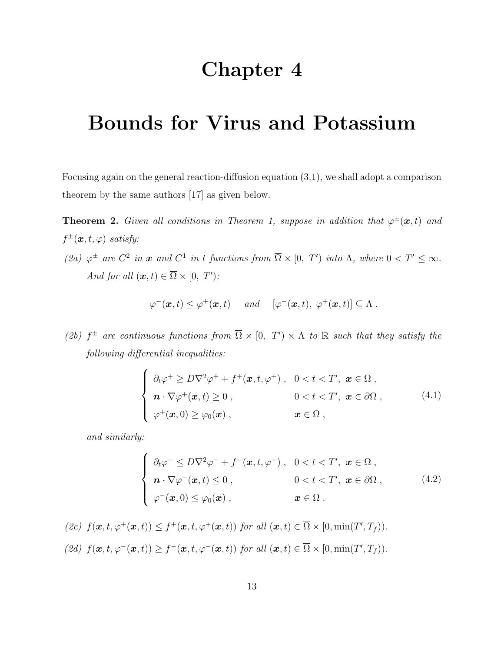## Chapter 4

# Bounds for Virus and Potassium

Focusing again on the general reaction-diffusion equation (3.1), we shall adopt a comparison theorem by the same authors [17] as given below.

**Theorem 2.** Given all conditions in Theorem 1, suppose in addition that  $\varphi^{\pm}(\boldsymbol{x},t)$  and  $f^{\pm}(\boldsymbol{x},t,\varphi)$  satisfy:

(2a)  $\varphi^{\pm}$  are  $C^2$  in  $\boldsymbol{x}$  and  $C^1$  in t functions from  $\overline{\Omega} \times [0, T')$  into  $\Lambda$ , where  $0 < T' \leq \infty$ . And for all  $(\boldsymbol{x}, t) \in \overline{\Omega} \times [0, T')$ :

$$
\varphi^-(\boldsymbol{x},t) \leq \varphi^+(\boldsymbol{x},t) \quad \text{and} \quad [\varphi^-(\boldsymbol{x},t), \ \varphi^+(\boldsymbol{x},t)] \subseteq \Lambda \ .
$$

(2b)  $f^{\pm}$  are continuous functions from  $\overline{\Omega} \times [0, T' \times \Lambda$  to R such that they satisfy the following differential inequalities:

$$
\begin{cases}\n\partial_t \varphi^+ \geq D\nabla^2 \varphi^+ + f^+(\boldsymbol{x}, t, \varphi^+), & 0 < t < T', \ \boldsymbol{x} \in \Omega \,, \\
\boldsymbol{n} \cdot \nabla \varphi^+(\boldsymbol{x}, t) \geq 0 \,, & 0 < t < T', \ \boldsymbol{x} \in \partial\Omega \,, \\
\varphi^+(\boldsymbol{x}, 0) \geq \varphi_0(\boldsymbol{x}) \,, & \boldsymbol{x} \in \Omega \,,\n\end{cases}\n\tag{4.1}
$$

and similarly:

$$
\begin{cases}\n\partial_t \varphi^- \leq D\nabla^2 \varphi^- + f^-(\mathbf{x}, t, \varphi^-), & 0 < t < T', \ \mathbf{x} \in \Omega \,, \\
\mathbf{n} \cdot \nabla \varphi^-(\mathbf{x}, t) \leq 0 \,, & 0 < t < T', \ \mathbf{x} \in \partial\Omega \,, \\
\varphi^-(\mathbf{x}, 0) \leq \varphi_0(\mathbf{x}) \,, & \mathbf{x} \in \Omega \,.\n\end{cases} \tag{4.2}
$$

$$
(2c) \ f(\boldsymbol{x}, t, \varphi^+(\boldsymbol{x}, t)) \leq f^+(\boldsymbol{x}, t, \varphi^+(\boldsymbol{x}, t)) \ \text{for all } (\boldsymbol{x}, t) \in \overline{\Omega} \times [0, \min(T', T_f)).
$$
\n
$$
(2d) \ f(\boldsymbol{x}, t, \varphi^-(\boldsymbol{x}, t)) \geq f^-(\boldsymbol{x}, t, \varphi^-(\boldsymbol{x}, t)) \ \text{for all } (\boldsymbol{x}, t) \in \overline{\Omega} \times [0, \min(T', T_f)).
$$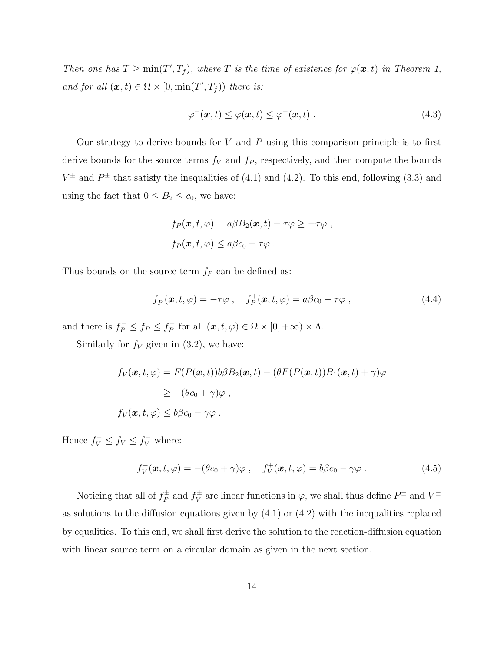Then one has  $T \ge \min(T', T_f)$ , where T is the time of existence for  $\varphi(\mathbf{x}, t)$  in Theorem 1, and for all  $(\boldsymbol{x}, t) \in \overline{\Omega} \times [0, \min(T', T_f))$  there is:

$$
\varphi^-(\boldsymbol{x},t) \le \varphi(\boldsymbol{x},t) \le \varphi^+(\boldsymbol{x},t) \,. \tag{4.3}
$$

Our strategy to derive bounds for  $V$  and  $P$  using this comparison principle is to first derive bounds for the source terms  $f_V$  and  $f_P$ , respectively, and then compute the bounds  $V^{\pm}$  and  $P^{\pm}$  that satisfy the inequalities of (4.1) and (4.2). To this end, following (3.3) and using the fact that  $0 \leq B_2 \leq c_0$ , we have:

$$
f_P(\boldsymbol{x}, t, \varphi) = a\beta B_2(\boldsymbol{x}, t) - \tau \varphi \geq -\tau \varphi,
$$
  

$$
f_P(\boldsymbol{x}, t, \varphi) \leq a\beta c_0 - \tau \varphi.
$$

Thus bounds on the source term  $f_P$  can be defined as:

$$
f_P^-(\boldsymbol{x}, t, \varphi) = -\tau \varphi \ , \quad f_P^+(\boldsymbol{x}, t, \varphi) = a\beta c_0 - \tau \varphi \ , \tag{4.4}
$$

and there is  $f_P^- \leq f_P \leq f_P^+$  $f_P^+$  for all  $(\boldsymbol{x}, t, \varphi) \in \Omega \times [0, +\infty) \times \Lambda$ .

Similarly for  $f_V$  given in (3.2), we have:

$$
f_V(\mathbf{x}, t, \varphi) = F(P(\mathbf{x}, t))b\beta B_2(\mathbf{x}, t) - (\theta F(P(\mathbf{x}, t))B_1(\mathbf{x}, t) + \gamma)\varphi
$$
  
\n
$$
\geq -(\theta c_0 + \gamma)\varphi,
$$
  
\n
$$
f_V(\mathbf{x}, t, \varphi) \leq b\beta c_0 - \gamma\varphi.
$$

Hence  $f_V^- \leq f_V \leq f_V^+$  where:

$$
f_V^-(\boldsymbol{x},t,\varphi) = -(\theta c_0 + \gamma)\varphi\ ,\quad f_V^+(\boldsymbol{x},t,\varphi) = b\beta c_0 - \gamma\varphi\ .
$$
 (4.5)

Noticing that all of  $f_P^{\pm}$  $f_P^{\pm}$  and  $f_V^{\pm}$  $V^{\pm}$  are linear functions in  $\varphi$ , we shall thus define  $P^{\pm}$  and  $V^{\pm}$ as solutions to the diffusion equations given by (4.1) or (4.2) with the inequalities replaced by equalities. To this end, we shall first derive the solution to the reaction-diffusion equation with linear source term on a circular domain as given in the next section.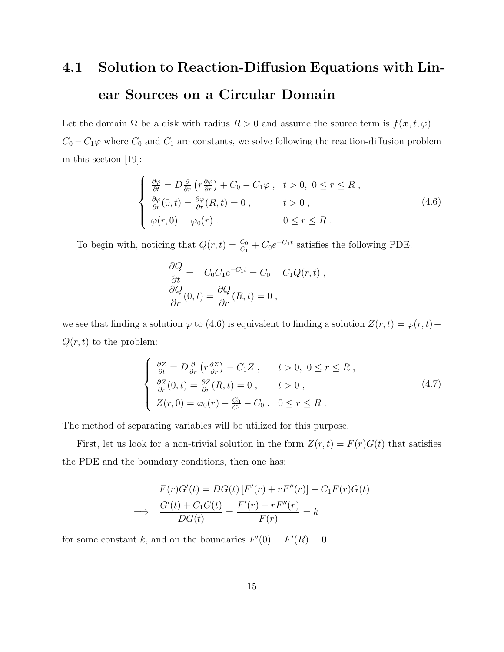# 4.1 Solution to Reaction-Diffusion Equations with Linear Sources on a Circular Domain

Let the domain  $\Omega$  be a disk with radius  $R > 0$  and assume the source term is  $f(\mathbf{x}, t, \varphi) =$  $C_0 - C_1\varphi$  where  $C_0$  and  $C_1$  are constants, we solve following the reaction-diffusion problem in this section [19]:

$$
\begin{cases}\n\frac{\partial \varphi}{\partial t} = D \frac{\partial}{\partial r} \left( r \frac{\partial \varphi}{\partial r} \right) + C_0 - C_1 \varphi, & t > 0, \ 0 \le r \le R, \\
\frac{\partial \varphi}{\partial r} (0, t) = \frac{\partial \varphi}{\partial r} (R, t) = 0, & t > 0, \\
\varphi(r, 0) = \varphi_0(r). & 0 \le r \le R.\n\end{cases} \tag{4.6}
$$

To begin with, noticing that  $Q(r,t) = \frac{C_0}{C_1} + C_0 e^{-C_1 t}$  satisfies the following PDE:

$$
\frac{\partial Q}{\partial t} = -C_0 C_1 e^{-C_1 t} = C_0 - C_1 Q(r, t) ,
$$
  
\n
$$
\frac{\partial Q}{\partial r}(0, t) = \frac{\partial Q}{\partial r}(R, t) = 0 ,
$$

we see that finding a solution  $\varphi$  to (4.6) is equivalent to finding a solution  $Z(r, t) = \varphi(r, t) Q(r, t)$  to the problem:

$$
\begin{cases}\n\frac{\partial Z}{\partial t} = D \frac{\partial}{\partial r} \left( r \frac{\partial Z}{\partial r} \right) - C_1 Z, & t > 0, \ 0 \le r \le R, \\
\frac{\partial Z}{\partial r} (0, t) = \frac{\partial Z}{\partial r} (R, t) = 0, & t > 0, \\
Z(r, 0) = \varphi_0(r) - \frac{C_0}{C_1} - C_0. & 0 \le r \le R.\n\end{cases}
$$
\n(4.7)

The method of separating variables will be utilized for this purpose.

First, let us look for a non-trivial solution in the form  $Z(r,t) = F(r)G(t)$  that satisfies the PDE and the boundary conditions, then one has:

$$
F(r)G'(t) = DG(t) [F'(r) + rF''(r)] - C_1F(r)G(t)
$$
  
\n
$$
\implies \frac{G'(t) + C_1G(t)}{DG(t)} = \frac{F'(r) + rF''(r)}{F(r)} = k
$$

for some constant k, and on the boundaries  $F'(0) = F'(R) = 0$ .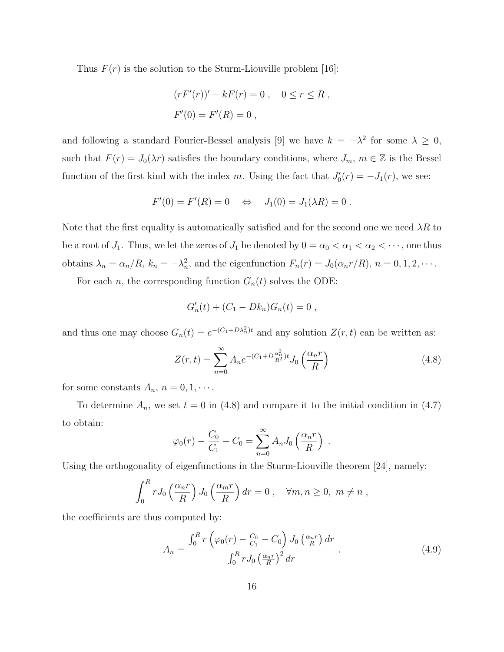Thus  $F(r)$  is the solution to the Sturm-Liouville problem [16]:

$$
(rF'(r))' - kF(r) = 0, \quad 0 \le r \le R,
$$
  

$$
F'(0) = F'(R) = 0,
$$

and following a standard Fourier-Bessel analysis [9] we have  $k = -\lambda^2$  for some  $\lambda \geq 0$ , such that  $F(r) = J_0(\lambda r)$  satisfies the boundary conditions, where  $J_m$ ,  $m \in \mathbb{Z}$  is the Bessel function of the first kind with the index m. Using the fact that  $J'_0(r) = -J_1(r)$ , we see:

$$
F'(0) = F'(R) = 0 \iff J_1(0) = J_1(\lambda R) = 0.
$$

Note that the first equality is automatically satisfied and for the second one we need  $\lambda R$  to be a root of  $J_1$ . Thus, we let the zeros of  $J_1$  be denoted by  $0 = \alpha_0 < \alpha_1 < \alpha_2 < \cdots$ , one thus obtains  $\lambda_n = \alpha_n/R$ ,  $k_n = -\lambda_n^2$ , and the eigenfunction  $F_n(r) = J_0(\alpha_n r/R)$ ,  $n = 0, 1, 2, \cdots$ .

For each *n*, the corresponding function  $G_n(t)$  solves the ODE:

$$
G'_n(t) + (C_1 - Dk_n)G_n(t) = 0,
$$

and thus one may choose  $G_n(t) = e^{-(C_1 + D\lambda_n^2)t}$  and any solution  $Z(r, t)$  can be written as:

$$
Z(r,t) = \sum_{n=0}^{\infty} A_n e^{-(C_1 + D \frac{\alpha_n^2}{R^2})t} J_0\left(\frac{\alpha_n r}{R}\right)
$$
(4.8)

for some constants  $A_n$ ,  $n = 0, 1, \cdots$ .

To determine  $A_n$ , we set  $t = 0$  in (4.8) and compare it to the initial condition in (4.7) to obtain:

$$
\varphi_0(r) - \frac{C_0}{C_1} - C_0 = \sum_{n=0}^{\infty} A_n J_0 \left( \frac{\alpha_n r}{R} \right) .
$$

Using the orthogonality of eigenfunctions in the Sturm-Liouville theorem [24], namely:

$$
\int_0^R r J_0\left(\frac{\alpha_n r}{R}\right) J_0\left(\frac{\alpha_m r}{R}\right) dr = 0 , \quad \forall m, n \ge 0, \ m \ne n ,
$$

the coefficients are thus computed by:

$$
A_n = \frac{\int_0^R r \left(\varphi_0(r) - \frac{C_0}{C_1} - C_0\right) J_0\left(\frac{\alpha_n r}{R}\right) dr}{\int_0^R r J_0\left(\frac{\alpha_n r}{R}\right)^2 dr} \,. \tag{4.9}
$$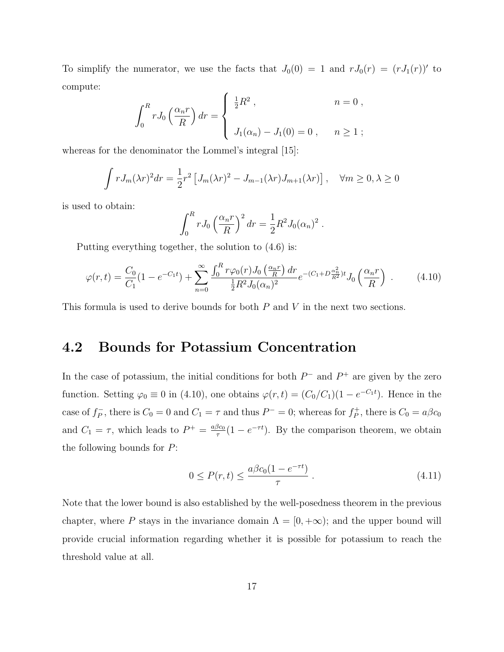To simplify the numerator, we use the facts that  $J_0(0) = 1$  and  $rJ_0(r) = (rJ_1(r))'$  to compute:

$$
\int_0^R r J_0\left(\frac{\alpha_n r}{R}\right) dr = \begin{cases} \frac{1}{2}R^2, & n = 0, \\ J_1(\alpha_n) - J_1(0) = 0, & n \ge 1; \end{cases}
$$

whereas for the denominator the Lommel's integral [15]:

$$
\int r J_m(\lambda r)^2 dr = \frac{1}{2} r^2 \left[ J_m(\lambda r)^2 - J_{m-1}(\lambda r) J_{m+1}(\lambda r) \right], \quad \forall m \ge 0, \lambda \ge 0
$$

is used to obtain:

$$
\int_0^R r J_0 \left(\frac{\alpha_n r}{R}\right)^2 dr = \frac{1}{2} R^2 J_0(\alpha_n)^2.
$$

Putting everything together, the solution to (4.6) is:

$$
\varphi(r,t) = \frac{C_0}{C_1} (1 - e^{-C_1 t}) + \sum_{n=0}^{\infty} \frac{\int_0^R r \varphi_0(r) J_0\left(\frac{\alpha_n r}{R}\right) dr}{\frac{1}{2} R^2 J_0(\alpha_n)^2} e^{-(C_1 + D \frac{\alpha_n^2}{R^2})t} J_0\left(\frac{\alpha_n r}{R}\right) \tag{4.10}
$$

This formula is used to derive bounds for both P and V in the next two sections.

### 4.2 Bounds for Potassium Concentration

In the case of potassium, the initial conditions for both  $P^-$  and  $P^+$  are given by the zero function. Setting  $\varphi_0 \equiv 0$  in (4.10), one obtains  $\varphi(r,t) = (C_0/C_1)(1 - e^{-C_1t})$ . Hence in the case of  $f_P^ \overline{P}_P$ , there is  $C_0 = 0$  and  $C_1 = \tau$  and thus  $P^- = 0$ ; whereas for  $f_P^+$  $C_P^+$ , there is  $C_0 = a\beta c_0$ and  $C_1 = \tau$ , which leads to  $P^+ = \frac{a\beta c_0}{\tau}$  $\frac{\beta c_0}{\tau} (1 - e^{-\tau t})$ . By the comparison theorem, we obtain the following bounds for  $P$ :

$$
0 \le P(r,t) \le \frac{a\beta c_0(1 - e^{-\tau t})}{\tau} \,. \tag{4.11}
$$

Note that the lower bound is also established by the well-posedness theorem in the previous chapter, where P stays in the invariance domain  $\Lambda = [0, +\infty)$ ; and the upper bound will provide crucial information regarding whether it is possible for potassium to reach the threshold value at all.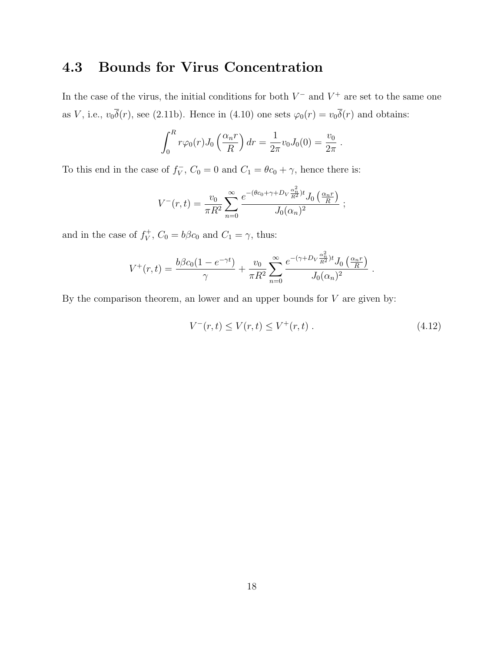### 4.3 Bounds for Virus Concentration

In the case of the virus, the initial conditions for both  $V^-$  and  $V^+$  are set to the same one as V, i.e.,  $v_0\overline{\delta}(r)$ , see (2.11b). Hence in (4.10) one sets  $\varphi_0(r) = v_0\overline{\delta}(r)$  and obtains:

$$
\int_0^R r\varphi_0(r)J_0\left(\frac{\alpha_n r}{R}\right)dr = \frac{1}{2\pi}v_0J_0(0) = \frac{v_0}{2\pi}.
$$

To this end in the case of  $f_V^ V_V^-, C_0 = 0$  and  $C_1 = \theta c_0 + \gamma$ , hence there is:

$$
V^{-}(r,t) = \frac{v_0}{\pi R^2} \sum_{n=0}^{\infty} \frac{e^{-(\theta c_0 + \gamma + D_V \frac{\alpha_n^2}{R^2})t} J_0\left(\frac{\alpha_n r}{R}\right)}{J_0(\alpha_n)^2} ;
$$

and in the case of  $f_V^+$  $V_V^+$ ,  $C_0 = b\beta c_0$  and  $C_1 = \gamma$ , thus:

$$
V^+(r,t) = \frac{b\beta c_0(1 - e^{-\gamma t})}{\gamma} + \frac{v_0}{\pi R^2} \sum_{n=0}^{\infty} \frac{e^{-(\gamma + D_V \frac{\alpha_n^2}{R^2})t} J_0\left(\frac{\alpha_n r}{R}\right)}{J_0(\alpha_n)^2}.
$$

By the comparison theorem, an lower and an upper bounds for  $V$  are given by:

$$
V^-(r,t) \le V(r,t) \le V^+(r,t) \tag{4.12}
$$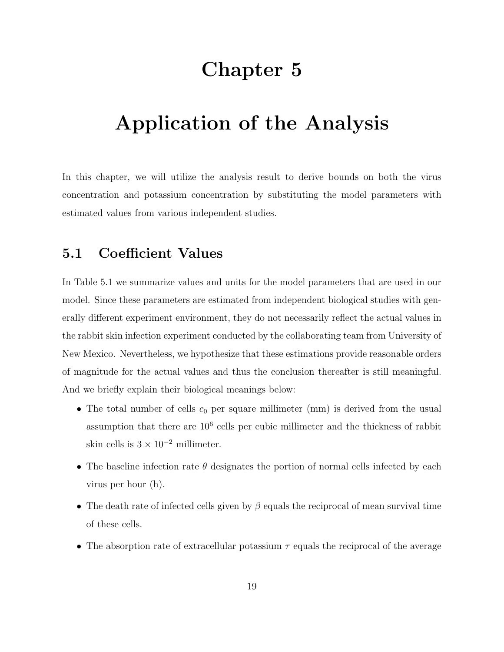## Chapter 5

# Application of the Analysis

In this chapter, we will utilize the analysis result to derive bounds on both the virus concentration and potassium concentration by substituting the model parameters with estimated values from various independent studies.

### 5.1 Coefficient Values

In Table 5.1 we summarize values and units for the model parameters that are used in our model. Since these parameters are estimated from independent biological studies with generally different experiment environment, they do not necessarily reflect the actual values in the rabbit skin infection experiment conducted by the collaborating team from University of New Mexico. Nevertheless, we hypothesize that these estimations provide reasonable orders of magnitude for the actual values and thus the conclusion thereafter is still meaningful. And we briefly explain their biological meanings below:

- The total number of cells  $c_0$  per square millimeter (mm) is derived from the usual assumption that there are  $10<sup>6</sup>$  cells per cubic millimeter and the thickness of rabbit skin cells is  $3 \times 10^{-2}$  millimeter.
- The baseline infection rate  $\theta$  designates the portion of normal cells infected by each virus per hour (h).
- The death rate of infected cells given by  $\beta$  equals the reciprocal of mean survival time of these cells.
- The absorption rate of extracellular potassium  $\tau$  equals the reciprocal of the average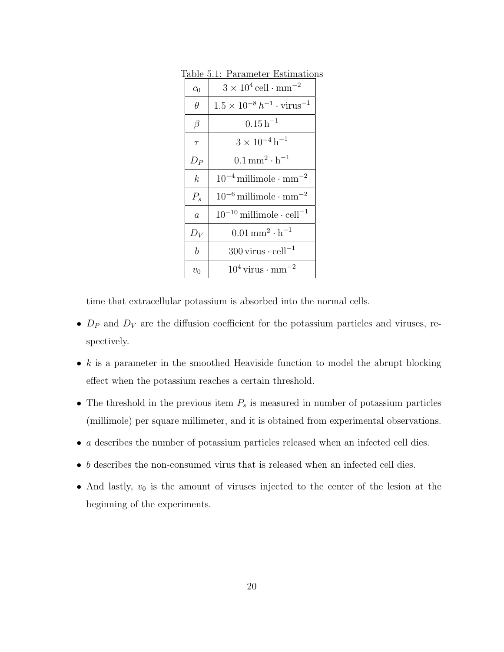| $c_0$            | $3 \times 10^4$ cell $\cdot$ mm <sup>-2</sup>       |
|------------------|-----------------------------------------------------|
| $\theta$         | $1.5 \times 10^{-8} h^{-1} \cdot \text{virus}^{-1}$ |
| $\beta$          | $0.15h^{-1}$                                        |
| $\tau$           | $3 \times 10^{-4}$ h <sup>-1</sup>                  |
| $D_P$            | $0.1 \,\rm{mm}^2 \cdot h^{-1}$                      |
| $\boldsymbol{k}$ | $10^{-4}$ millimole $\cdot$ mm <sup>-2</sup>        |
| $P_{s}$          | $10^{-6}$ millimole $\cdot$ mm <sup>-2</sup>        |
| $\overline{a}$   | $10^{-10}$ millimole $\cdot$ cell <sup>-1</sup>     |
| $D_V$            | $0.01 \,\mathrm{mm}^2 \cdot \mathrm{h}^{-1}$        |
| $\boldsymbol{b}$ | $300 \,\mathrm{virus} \cdot \mathrm{cell}^{-1}$     |
| $v_0$            | $10^4$ virus $\cdot$ mm <sup>-2</sup>               |

Table 5.1: Parameter Estimations

time that extracellular potassium is absorbed into the normal cells.

- $D_P$  and  $D_V$  are the diffusion coefficient for the potassium particles and viruses, respectively.
- $k$  is a parameter in the smoothed Heaviside function to model the abrupt blocking effect when the potassium reaches a certain threshold.
- The threshold in the previous item  $P_s$  is measured in number of potassium particles (millimole) per square millimeter, and it is obtained from experimental observations.
- $\bullet$  *a* describes the number of potassium particles released when an infected cell dies.
- $\bullet$   $\,b$  describes the non-consumed virus that is released when an infected cell dies.
- And lastly,  $v_0$  is the amount of viruses injected to the center of the lesion at the beginning of the experiments.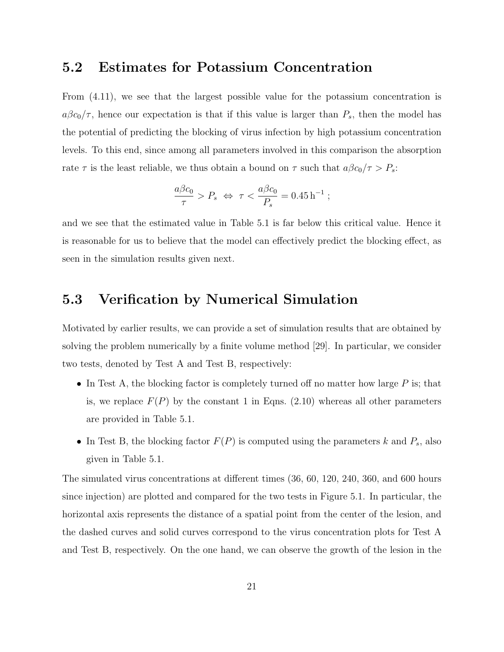#### 5.2 Estimates for Potassium Concentration

From (4.11), we see that the largest possible value for the potassium concentration is  $a\beta c_0/\tau$ , hence our expectation is that if this value is larger than  $P_s$ , then the model has the potential of predicting the blocking of virus infection by high potassium concentration levels. To this end, since among all parameters involved in this comparison the absorption rate  $\tau$  is the least reliable, we thus obtain a bound on  $\tau$  such that  $a\beta c_0/\tau > P_s$ :

$$
\frac{a\beta c_0}{\tau} > P_s \iff \tau < \frac{a\beta c_0}{P_s} = 0.45 \,\mathrm{h}^{-1} \;;
$$

and we see that the estimated value in Table 5.1 is far below this critical value. Hence it is reasonable for us to believe that the model can effectively predict the blocking effect, as seen in the simulation results given next.

### 5.3 Verification by Numerical Simulation

Motivated by earlier results, we can provide a set of simulation results that are obtained by solving the problem numerically by a finite volume method [29]. In particular, we consider two tests, denoted by Test A and Test B, respectively:

- In Test A, the blocking factor is completely turned off no matter how large  $P$  is; that is, we replace  $F(P)$  by the constant 1 in Eqns. (2.10) whereas all other parameters are provided in Table 5.1.
- In Test B, the blocking factor  $F(P)$  is computed using the parameters k and  $P_s$ , also given in Table 5.1.

The simulated virus concentrations at different times (36, 60, 120, 240, 360, and 600 hours since injection) are plotted and compared for the two tests in Figure 5.1. In particular, the horizontal axis represents the distance of a spatial point from the center of the lesion, and the dashed curves and solid curves correspond to the virus concentration plots for Test A and Test B, respectively. On the one hand, we can observe the growth of the lesion in the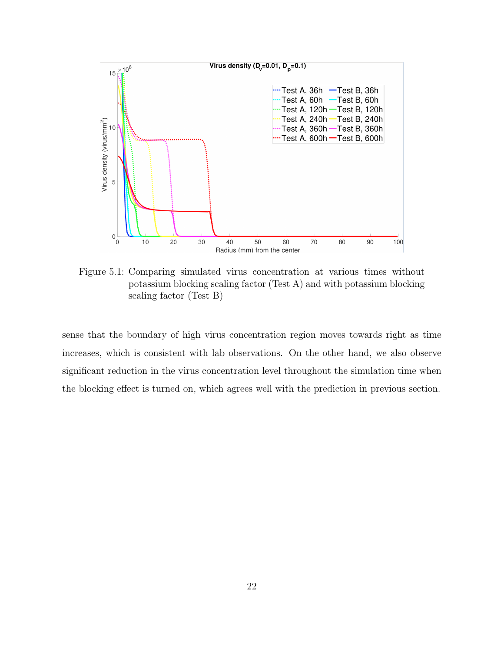

Figure 5.1: Comparing simulated virus concentration at various times without potassium blocking scaling factor (Test A) and with potassium blocking scaling factor (Test B)

sense that the boundary of high virus concentration region moves towards right as time increases, which is consistent with lab observations. On the other hand, we also observe significant reduction in the virus concentration level throughout the simulation time when the blocking effect is turned on, which agrees well with the prediction in previous section.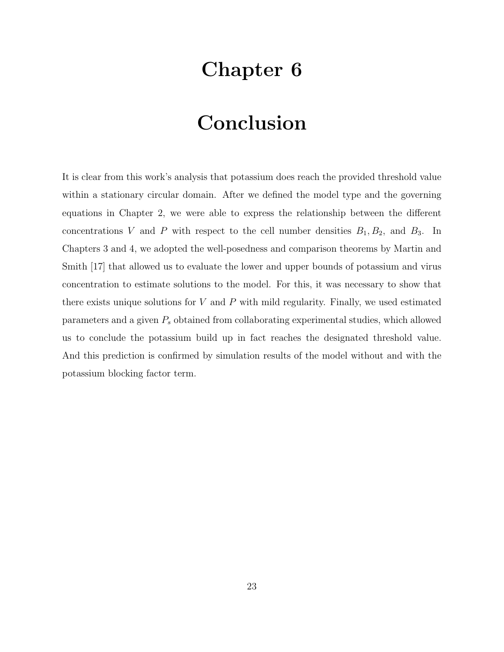# Chapter 6

# Conclusion

It is clear from this work's analysis that potassium does reach the provided threshold value within a stationary circular domain. After we defined the model type and the governing equations in Chapter 2, we were able to express the relationship between the different concentrations V and P with respect to the cell number densities  $B_1, B_2$ , and  $B_3$ . In Chapters 3 and 4, we adopted the well-posedness and comparison theorems by Martin and Smith [17] that allowed us to evaluate the lower and upper bounds of potassium and virus concentration to estimate solutions to the model. For this, it was necessary to show that there exists unique solutions for  $V$  and  $P$  with mild regularity. Finally, we used estimated parameters and a given  $P_s$  obtained from collaborating experimental studies, which allowed us to conclude the potassium build up in fact reaches the designated threshold value. And this prediction is confirmed by simulation results of the model without and with the potassium blocking factor term.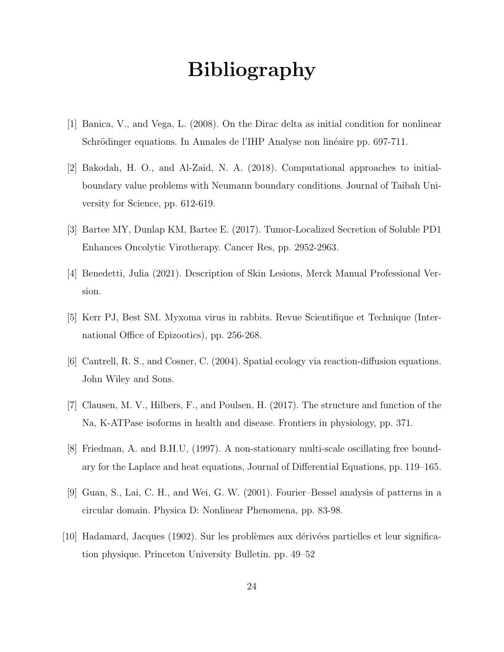# Bibliography

- [1] Banica, V., and Vega, L. (2008). On the Dirac delta as initial condition for nonlinear Schrödinger equations. In Annales de l'IHP Analyse non linéaire pp. 697-711.
- [2] Bakodah, H. O., and Al-Zaid, N. A. (2018). Computational approaches to initialboundary value problems with Neumann boundary conditions. Journal of Taibah University for Science, pp. 612-619.
- [3] Bartee MY, Dunlap KM, Bartee E. (2017). Tumor-Localized Secretion of Soluble PD1 Enhances Oncolytic Virotherapy. Cancer Res, pp. 2952-2963.
- [4] Benedetti, Julia (2021). Description of Skin Lesions, Merck Manual Professional Version.
- [5] Kerr PJ, Best SM. Myxoma virus in rabbits. Revue Scientifique et Technique (International Office of Epizootics), pp. 256-268.
- [6] Cantrell, R. S., and Cosner, C. (2004). Spatial ecology via reaction-diffusion equations. John Wiley and Sons.
- [7] Clausen, M. V., Hilbers, F., and Poulsen, H. (2017). The structure and function of the Na, K-ATPase isoforms in health and disease. Frontiers in physiology, pp. 371.
- [8] Friedman, A. and B.H.U, (1997). A non-stationary multi-scale oscillating free boundary for the Laplace and heat equations, Journal of Differential Equations, pp. 119–165.
- [9] Guan, S., Lai, C. H., and Wei, G. W. (2001). Fourier–Bessel analysis of patterns in a circular domain. Physica D: Nonlinear Phenomena, pp. 83-98.
- $[10]$  Hadamard, Jacques (1902). Sur les problèmes aux dérivées partielles et leur signification physique. Princeton University Bulletin. pp. 49–52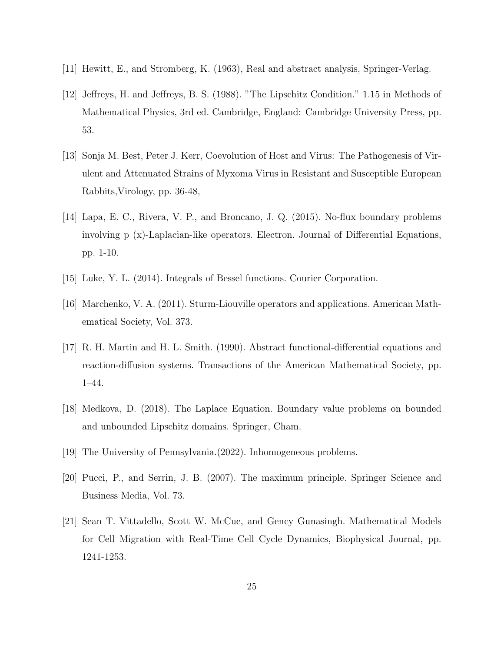- [11] Hewitt, E., and Stromberg, K. (1963), Real and abstract analysis, Springer-Verlag.
- [12] Jeffreys, H. and Jeffreys, B. S. (1988). "The Lipschitz Condition." 1.15 in Methods of Mathematical Physics, 3rd ed. Cambridge, England: Cambridge University Press, pp. 53.
- [13] Sonja M. Best, Peter J. Kerr, Coevolution of Host and Virus: The Pathogenesis of Virulent and Attenuated Strains of Myxoma Virus in Resistant and Susceptible European Rabbits,Virology, pp. 36-48,
- [14] Lapa, E. C., Rivera, V. P., and Broncano, J. Q. (2015). No-flux boundary problems involving p (x)-Laplacian-like operators. Electron. Journal of Differential Equations, pp. 1-10.
- [15] Luke, Y. L. (2014). Integrals of Bessel functions. Courier Corporation.
- [16] Marchenko, V. A. (2011). Sturm-Liouville operators and applications. American Mathematical Society, Vol. 373.
- [17] R. H. Martin and H. L. Smith. (1990). Abstract functional-differential equations and reaction-diffusion systems. Transactions of the American Mathematical Society, pp. 1–44.
- [18] Medkova, D. (2018). The Laplace Equation. Boundary value problems on bounded and unbounded Lipschitz domains. Springer, Cham.
- [19] The University of Pennsylvania.(2022). Inhomogeneous problems.
- [20] Pucci, P., and Serrin, J. B. (2007). The maximum principle. Springer Science and Business Media, Vol. 73.
- [21] Sean T. Vittadello, Scott W. McCue, and Gency Gunasingh. Mathematical Models for Cell Migration with Real-Time Cell Cycle Dynamics, Biophysical Journal, pp. 1241-1253.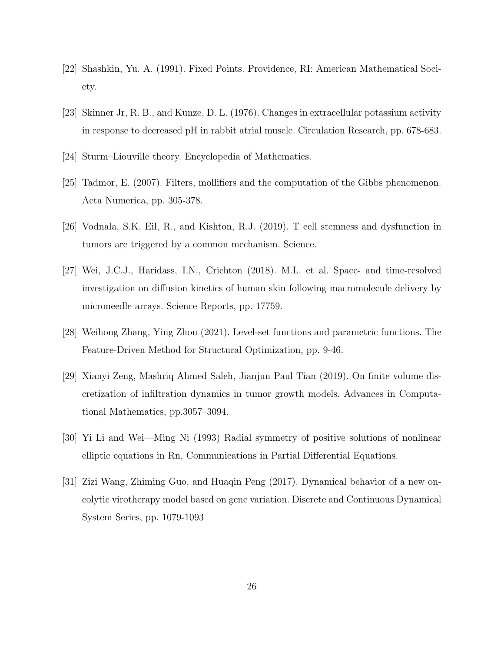- [22] Shashkin, Yu. A. (1991). Fixed Points. Providence, RI: American Mathematical Society.
- [23] Skinner Jr, R. B., and Kunze, D. L. (1976). Changes in extracellular potassium activity in response to decreased pH in rabbit atrial muscle. Circulation Research, pp. 678-683.
- [24] Sturm–Liouville theory. Encyclopedia of Mathematics.
- [25] Tadmor, E. (2007). Filters, mollifiers and the computation of the Gibbs phenomenon. Acta Numerica, pp. 305-378.
- [26] Vodnala, S.K, Eil, R., and Kishton, R.J. (2019). T cell stemness and dysfunction in tumors are triggered by a common mechanism. Science.
- [27] Wei, J.C.J., Haridass, I.N., Crichton (2018). M.L. et al. Space- and time-resolved investigation on diffusion kinetics of human skin following macromolecule delivery by microneedle arrays. Science Reports, pp. 17759.
- [28] Weihong Zhang, Ying Zhou (2021). Level-set functions and parametric functions. The Feature-Driven Method for Structural Optimization, pp. 9-46.
- [29] Xianyi Zeng, Mashriq Ahmed Saleh, Jianjun Paul Tian (2019). On finite volume discretization of infiltration dynamics in tumor growth models. Advances in Computational Mathematics, pp.3057–3094.
- [30] Yi Li and Wei—Ming Ni (1993) Radial symmetry of positive solutions of nonlinear elliptic equations in Rn, Communications in Partial Differential Equations.
- [31] Zizi Wang, Zhiming Guo, and Huaqin Peng (2017). Dynamical behavior of a new oncolytic virotherapy model based on gene variation. Discrete and Continuous Dynamical System Series, pp. 1079-1093